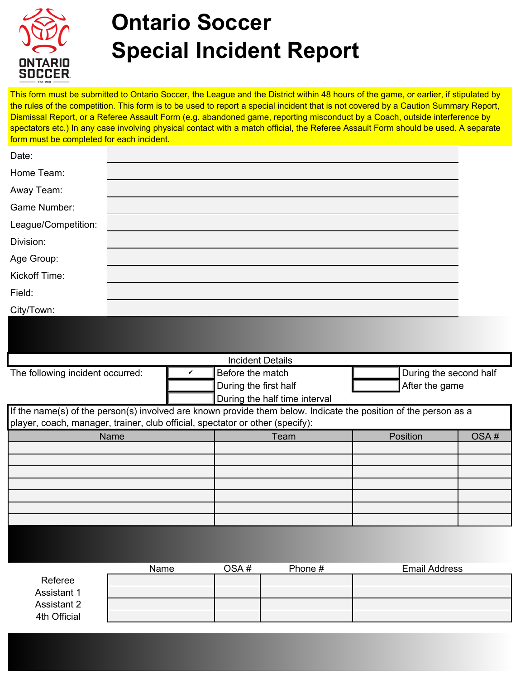

## **Ontario Soccer Special Incident Report**

This form must be submitted to Ontario Soccer, the League and the District within 48 hours of the game, or earlier, if stipulated by the rules of the competition. This form is to be used to report a special incident that is not covered by a Caution Summary Report, Dismissal Report, or a Referee Assault Form (e.g. abandoned game, reporting misconduct by a Coach, outside interference by spectators etc.) In any case involving physical contact with a match official, the Referee Assault Form should be used. A separate form must be completed for each incident.

| <b>Incident Details</b>          |  |                               |  |                               |  |  |  |
|----------------------------------|--|-------------------------------|--|-------------------------------|--|--|--|
| The following incident occurred: |  | Before the match              |  | During the second half        |  |  |  |
|                                  |  | During the first half         |  | $\blacksquare$ After the game |  |  |  |
|                                  |  | During the half time interval |  |                               |  |  |  |

| If the name(s) of the person(s) involved are known provide them below. Indicate the position of the person as a |      |          |      |  |  |
|-----------------------------------------------------------------------------------------------------------------|------|----------|------|--|--|
| player, coach, manager, trainer, club official, spectator or other (specify):                                   |      |          |      |  |  |
| Name                                                                                                            | Team | Position | OSA# |  |  |
|                                                                                                                 |      |          |      |  |  |
|                                                                                                                 |      |          |      |  |  |
|                                                                                                                 |      |          |      |  |  |
|                                                                                                                 |      |          |      |  |  |
|                                                                                                                 |      |          |      |  |  |
|                                                                                                                 |      |          |      |  |  |
|                                                                                                                 |      |          |      |  |  |
|                                                                                                                 |      |          |      |  |  |

|              | Name | OSA# | Phone # | <b>Email Address</b> |
|--------------|------|------|---------|----------------------|
| Referee      |      |      |         |                      |
| Assistant 1  |      |      |         |                      |
| Assistant 2  |      |      |         |                      |
| 4th Official |      |      |         |                      |